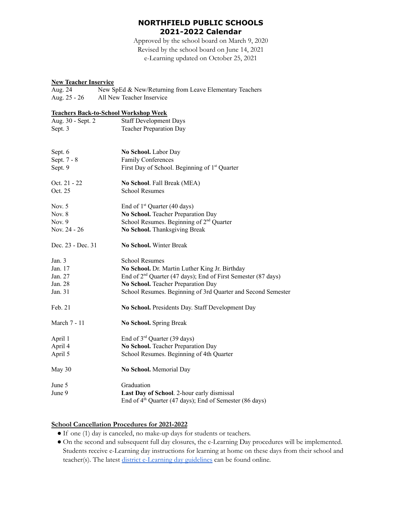# **NORTHFIELD PUBLIC SCHOOLS 2021-2022 Calendar**

Approved by the school board on March 9, 2020 Revised by the school board on June 14, 2021 e-Learning updated on October 25, 2021

## **New Teacher Inservice**

| Aug. 24      | New SpEd & New/Returning from Leave Elementary Teachers |
|--------------|---------------------------------------------------------|
| Aug. 25 - 26 | All New Teacher Inservice                               |

#### **Teachers Back-to-School Workshop Week**

| Aug. 30 - Sept. 2 | <b>Staff Development Days</b>                                      |
|-------------------|--------------------------------------------------------------------|
| Sept. 3           | <b>Teacher Preparation Day</b>                                     |
|                   |                                                                    |
| Sept. 6           | No School. Labor Day                                               |
| Sept. 7 - 8       | <b>Family Conferences</b>                                          |
| Sept. 9           | First Day of School. Beginning of 1 <sup>st</sup> Quarter          |
| Oct. 21 - 22      | No School. Fall Break (MEA)                                        |
| Oct. 25           | <b>School Resumes</b>                                              |
| Nov. $5$          | End of $1st$ Quarter (40 days)                                     |
| Nov. $8$          | No School. Teacher Preparation Day                                 |
| Nov. $9$          | School Resumes. Beginning of 2 <sup>nd</sup> Quarter               |
| Nov. 24 - 26      | No School. Thanksgiving Break                                      |
| Dec. 23 - Dec. 31 | No School. Winter Break                                            |
| Jan. 3            | <b>School Resumes</b>                                              |
| Jan. 17           | No School. Dr. Martin Luther King Jr. Birthday                     |
| Jan. 27           | End of $2^{nd}$ Quarter (47 days); End of First Semester (87 days) |
| Jan. 28           | No School. Teacher Preparation Day                                 |
| Jan. 31           | School Resumes. Beginning of 3rd Quarter and Second Semester       |
| Feb. 21           | No School. Presidents Day. Staff Development Day                   |
| March 7 - 11      | No School. Spring Break                                            |
| April 1           | End of $3rd$ Quarter (39 days)                                     |
| April 4           | No School. Teacher Preparation Day                                 |
| April 5           | School Resumes. Beginning of 4th Quarter                           |
| May 30            | No School. Memorial Day                                            |
| June 5            | Graduation                                                         |
| June 9            | Last Day of School. 2-hour early dismissal                         |
|                   | End of $4th$ Quarter (47 days); End of Semester (86 days)          |

## **School Cancellation Procedures for 2021-2022**

- If one (1) day is canceled, no make-up days for students or teachers.
- On the second and subsequent full day closures, the e-Learning Day procedures will be implemented. Students receive e-Learning day instructions for learning at home on these days from their school and teacher(s). The latest [district e-Learning day guidelines](https://northfieldschools.org/parents/school-closings/) can be found online.